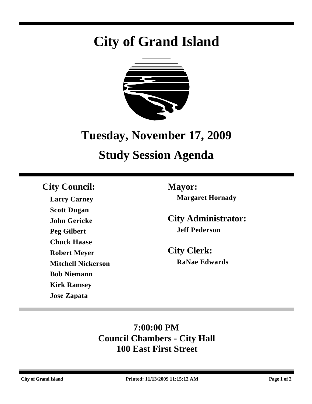# **City of Grand Island**



## **Tuesday, November 17, 2009**

## **Study Session Agenda**

## **City Council: Mayor:**

**Larry Carney Scott Dugan John Gericke Peg Gilbert Chuck Haase Robert Meyer Mitchell Nickerson Bob Niemann Kirk Ramsey Jose Zapata**

**Margaret Hornady**

**City Administrator: Jeff Pederson**

**City Clerk: RaNae Edwards**

## **7:00:00 PM Council Chambers - City Hall 100 East First Street**